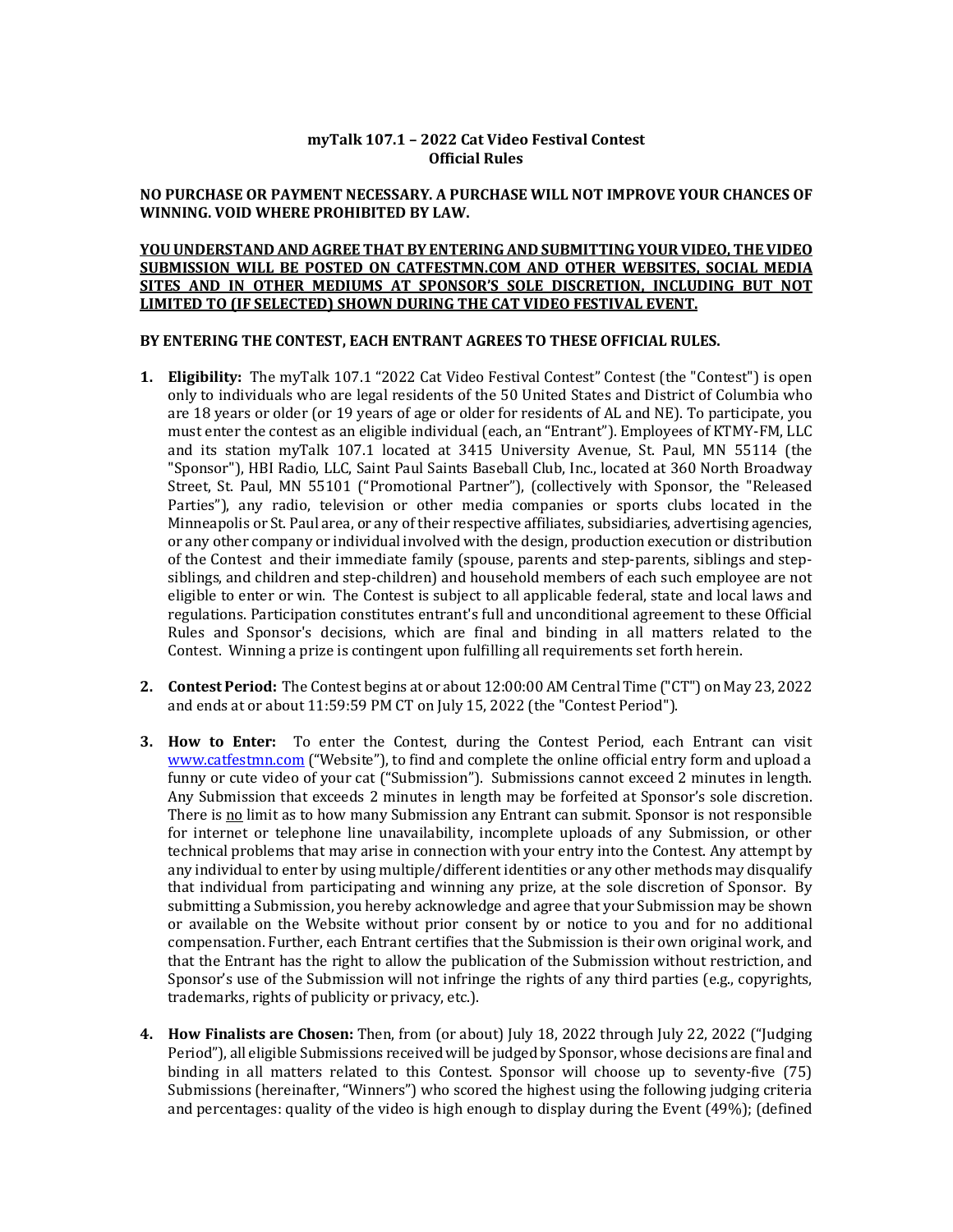### **myTalk 107.1 – 2022 Cat Video Festival Contest Official Rules**

#### **NO PURCHASE OR PAYMENT NECESSARY. A PURCHASE WILL NOT IMPROVE YOUR CHANCES OF WINNING. VOID WHERE PROHIBITED BY LAW.**

# **YOU UNDERSTAND AND AGREE THAT BY ENTERING AND SUBMITTING YOUR VIDEO, THE VIDEO** SUBMISSION WILL BE POSTED ON CATFESTMN.COM AND OTHER WEBSITES, SOCIAL MEDIA SITES AND IN OTHER MEDIUMS AT SPONSOR'S SOLE DISCRETION, INCLUDING BUT NOT **LIMITED TO (IF SELECTED) SHOWN DURING THE CAT VIDEO FESTIVAL EVENT.**

#### BY ENTERING THE CONTEST, EACH ENTRANT AGREES TO THESE OFFICIAL RULES.

- **1. Eligibility:** The myTalk 107.1 "2022 Cat Video Festival Contest" Contest (the "Contest") is open only to individuals who are legal residents of the 50 United States and District of Columbia who are 18 years or older (or 19 years of age or older for residents of AL and NE). To participate, you must enter the contest as an eligible individual (each, an "Entrant"). Employees of KTMY-FM, LLC and its station myTalk 107.1 located at 3415 University Avenue, St. Paul, MN 55114 (the "Sponsor"), HBI Radio, LLC, Saint Paul Saints Baseball Club, Inc., located at 360 North Broadway Street, St. Paul, MN 55101 ("Promotional Partner"), (collectively with Sponsor, the "Released Parties"), any radio, television or other media companies or sports clubs located in the Minneapolis or St. Paul area, or any of their respective affiliates, subsidiaries, advertising agencies, or any other company or individual involved with the design, production execution or distribution of the Contest and their immediate family (spouse, parents and step-parents, siblings and stepsiblings, and children and step-children) and household members of each such employee are not eligible to enter or win. The Contest is subject to all applicable federal, state and local laws and regulations. Participation constitutes entrant's full and unconditional agreement to these Official Rules and Sponsor's decisions, which are final and binding in all matters related to the Contest. Winning a prize is contingent upon fulfilling all requirements set forth herein.
- **2. Contest Period:** The Contest begins at or about 12:00:00 AM Central Time ("CT") on May 23, 2022 and ends at or about 11:59:59 PM CT on July 15, 2022 (the "Contest Period").
- **3. How to Enter:** To enter the Contest, during the Contest Period, each Entrant can visit www.catfestmn.com ("Website"), to find and complete the online official entry form and upload a funny or cute video of your cat ("Submission"). Submissions cannot exceed 2 minutes in length. Any Submission that exceeds 2 minutes in length may be forfeited at Sponsor's sole discretion. There is no limit as to how many Submission any Entrant can submit. Sponsor is not responsible for internet or telephone line unavailability, incomplete uploads of any Submission, or other technical problems that may arise in connection with your entry into the Contest. Any attempt by any individual to enter by using multiple/different identities or any other methods may disqualify that individual from participating and winning any prize, at the sole discretion of Sponsor. By submitting a Submission, you hereby acknowledge and agree that your Submission may be shown or available on the Website without prior consent by or notice to you and for no additional compensation. Further, each Entrant certifies that the Submission is their own original work, and that the Entrant has the right to allow the publication of the Submission without restriction, and Sponsor's use of the Submission will not infringe the rights of any third parties  $(e.g.,$  copyrights, trademarks, rights of publicity or privacy, etc.).
- **4. How Finalists are Chosen:** Then, from (or about) July 18, 2022 through July 22, 2022 ("Judging Period"), all eligible Submissions received will be judged by Sponsor, whose decisions are final and binding in all matters related to this Contest. Sponsor will choose up to seventy-five (75) Submissions (hereinafter, "Winners") who scored the highest using the following judging criteria and percentages: quality of the video is high enough to display during the Event  $(49\%)$ ; (defined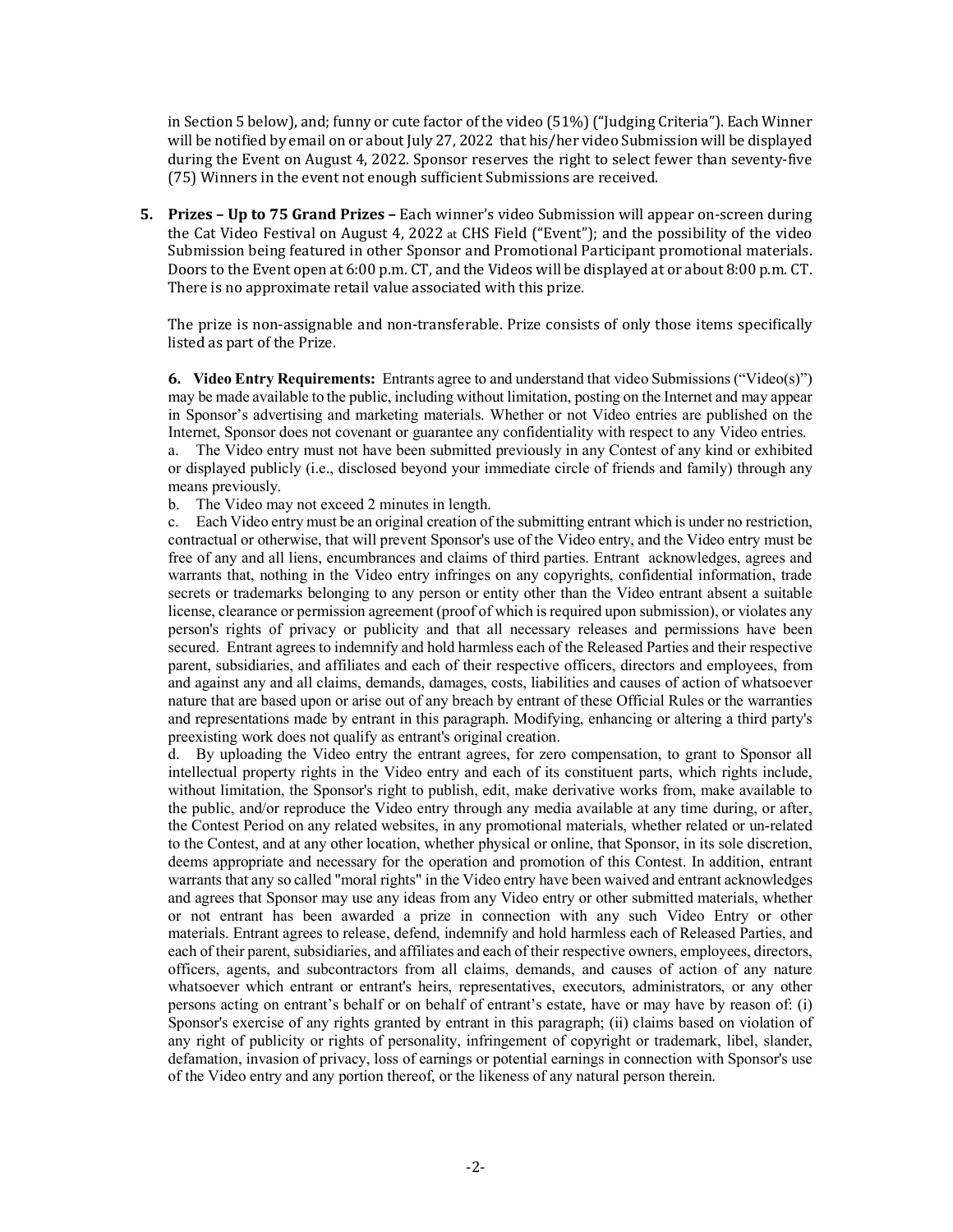in Section 5 below), and; funny or cute factor of the video (51%) ("Judging Criteria"). Each Winner will be notified by email on or about July 27, 2022 that his/her video Submission will be displayed during the Event on August 4, 2022. Sponsor reserves the right to select fewer than seventy-five (75) Winners in the event not enough sufficient Submissions are received.

**5.** Prizes – Up to 75 Grand Prizes – Each winner's video Submission will appear on-screen during the Cat Video Festival on August 4, 2022 at CHS Field ("Event"); and the possibility of the video Submission being featured in other Sponsor and Promotional Participant promotional materials. Doors to the Event open at 6:00 p.m. CT, and the Videos will be displayed at or about 8:00 p.m. CT. There is no approximate retail value associated with this prize.

The prize is non-assignable and non-transferable. Prize consists of only those items specifically listed as part of the Prize.

**6.** Video Entry Requirements: Entrants agree to and understand that video Submissions ("Video(s)") may be made available to the public, including without limitation, posting on the Internet and may appear in Sponsor's advertising and marketing materials. Whether or not Video entries are published on the Internet, Sponsor does not covenant or guarantee any confidentiality with respect to any Video entries. a. The Video entry must not have been submitted previously in any Contest of any kind or exhibited or displayed publicly (i.e., disclosed beyond your immediate circle of friends and family) through any means previously.

b. The Video may not exceed 2 minutes in length.

c. Each Video entry must be an original creation of the submitting entrant which is under no restriction, contractual or otherwise, that will prevent Sponsor's use of the Video entry, and the Video entry must be free of any and all liens, encumbrances and claims of third parties. Entrant acknowledges, agrees and warrants that, nothing in the Video entry infringes on any copyrights, confidential information, trade secrets or trademarks belonging to any person or entity other than the Video entrant absent a suitable license, clearance or permission agreement (proof of which is required upon submission), or violates any person's rights of privacy or publicity and that all necessary releases and permissions have been secured. Entrant agrees to indemnify and hold harmless each of the Released Parties and their respective parent, subsidiaries, and affiliates and each of their respective officers, directors and employees, from and against any and all claims, demands, damages, costs, liabilities and causes of action of whatsoever nature that are based upon or arise out of any breach by entrant of these Official Rules or the warranties and representations made by entrant in this paragraph. Modifying, enhancing or altering a third party's preexisting work does not qualify as entrant's original creation.

d. By uploading the Video entry the entrant agrees, for zero compensation, to grant to Sponsor all intellectual property rights in the Video entry and each of its constituent parts, which rights include, without limitation, the Sponsor's right to publish, edit, make derivative works from, make available to the public, and/or reproduce the Video entry through any media available at any time during, or after, the Contest Period on any related websites, in any promotional materials, whether related or un-related to the Contest, and at any other location, whether physical or online, that Sponsor, in its sole discretion, deems appropriate and necessary for the operation and promotion of this Contest. In addition, entrant warrants that any so called "moral rights" in the Video entry have been waived and entrant acknowledges and agrees that Sponsor may use any ideas from any Video entry or other submitted materials, whether or not entrant has been awarded a prize in connection with any such Video Entry or other materials. Entrant agrees to release, defend, indemnify and hold harmless each of Released Parties, and each of their parent, subsidiaries, and affiliates and each of their respective owners, employees, directors, officers, agents, and subcontractors from all claims, demands, and causes of action of any nature whatsoever which entrant or entrant's heirs, representatives, executors, administrators, or any other persons acting on entrant's behalf or on behalf of entrant's estate, have or may have by reason of: (i) Sponsor's exercise of any rights granted by entrant in this paragraph; (ii) claims based on violation of any right of publicity or rights of personality, infringement of copyright or trademark, libel, slander, defamation, invasion of privacy, loss of earnings or potential earnings in connection with Sponsor's use of the Video entry and any portion thereof, or the likeness of any natural person therein.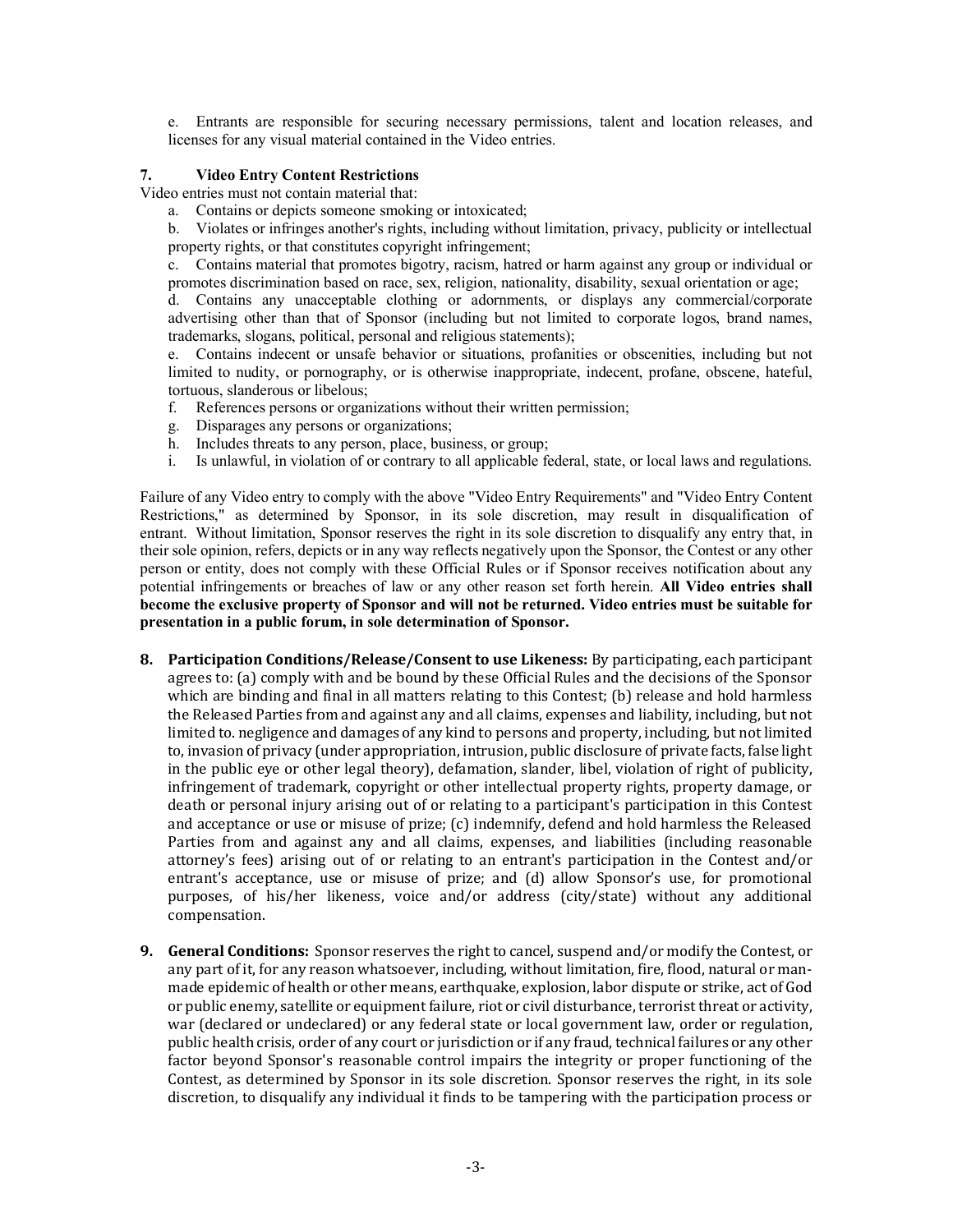e. Entrants are responsible for securing necessary permissions, talent and location releases, and licenses for any visual material contained in the Video entries.

# **7. Video Entry Content Restrictions**

Video entries must not contain material that:

a. Contains or depicts someone smoking or intoxicated;

b. Violates or infringes another's rights, including without limitation, privacy, publicity or intellectual property rights, or that constitutes copyright infringement;

c. Contains material that promotes bigotry, racism, hatred or harm against any group or individual or promotes discrimination based on race, sex, religion, nationality, disability, sexual orientation or age;

d. Contains any unacceptable clothing or adornments, or displays any commercial/corporate advertising other than that of Sponsor (including but not limited to corporate logos, brand names, trademarks, slogans, political, personal and religious statements);

e. Contains indecent or unsafe behavior or situations, profanities or obscenities, including but not limited to nudity, or pornography, or is otherwise inappropriate, indecent, profane, obscene, hateful, tortuous, slanderous or libelous;

- f. References persons or organizations without their written permission;
- g. Disparages any persons or organizations;
- h. Includes threats to any person, place, business, or group;
- i. Is unlawful, in violation of or contrary to all applicable federal, state, or local laws and regulations.

Failure of any Video entry to comply with the above "Video Entry Requirements" and "Video Entry Content Restrictions," as determined by Sponsor, in its sole discretion, may result in disqualification of entrant. Without limitation, Sponsor reserves the right in its sole discretion to disqualify any entry that, in their sole opinion, refers, depicts or in any way reflects negatively upon the Sponsor, the Contest or any other person or entity, does not comply with these Official Rules or if Sponsor receives notification about any potential infringements or breaches of law or any other reason set forth herein. **All Video entries shall become the exclusive property of Sponsor and will not be returned. Video entries must be suitable for presentation in a public forum, in sole determination of Sponsor.**

- **8.** Participation Conditions/Release/Consent to use Likeness: By participating, each participant agrees to: (a) comply with and be bound by these Official Rules and the decisions of the Sponsor which are binding and final in all matters relating to this Contest;  $(b)$  release and hold harmless the Released Parties from and against any and all claims, expenses and liability, including, but not limited to, negligence and damages of any kind to persons and property, including, but not limited to, invasion of privacy (under appropriation, intrusion, public disclosure of private facts, false light in the public eye or other legal theory), defamation, slander, libel, violation of right of publicity, infringement of trademark, copyright or other intellectual property rights, property damage, or death or personal injury arising out of or relating to a participant's participation in this Contest and acceptance or use or misuse of prize;  $(c)$  indemnify, defend and hold harmless the Released Parties from and against any and all claims, expenses, and liabilities (including reasonable attorney's fees) arising out of or relating to an entrant's participation in the Contest and/or entrant's acceptance, use or misuse of prize; and (d) allow Sponsor's use, for promotional purposes, of his/her likeness, voice and/or address (city/state) without any additional compensation.
- **9. General Conditions:** Sponsor reserves the right to cancel, suspend and/or modify the Contest, or any part of it, for any reason whatsoever, including, without limitation, fire, flood, natural or manmade epidemic of health or other means, earthquake, explosion, labor dispute or strike, act of God or public enemy, satellite or equipment failure, riot or civil disturbance, terrorist threat or activity, war (declared or undeclared) or any federal state or local government law, order or regulation, public health crisis, order of any court or jurisdiction or if any fraud, technical failures or any other factor beyond Sponsor's reasonable control impairs the integrity or proper functioning of the Contest, as determined by Sponsor in its sole discretion. Sponsor reserves the right, in its sole discretion, to disqualify any individual it finds to be tampering with the participation process or